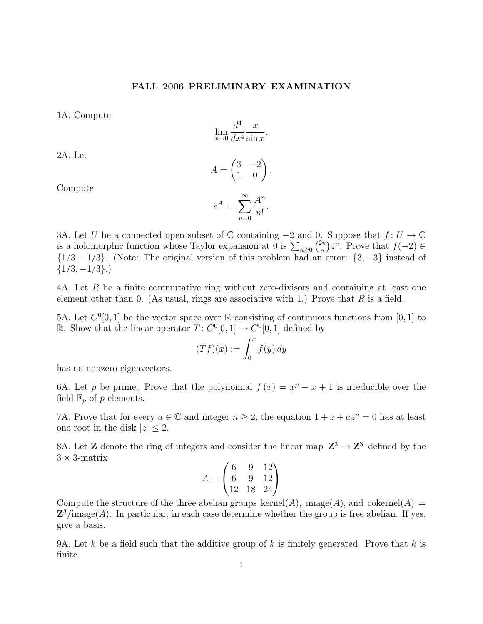## FALL 2006 PRELIMINARY EXAMINATION

1A. Compute

$$
\lim_{x \to 0} \frac{d^4}{dx^4} \frac{x}{\sin x}.
$$

2A. Let

$$
A = \begin{pmatrix} 3 & -2 \\ 1 & 0 \end{pmatrix}.
$$

Compute

$$
e^A := \sum_{n=0}^{\infty} \frac{A^n}{n!}.
$$

3A. Let U be a connected open subset of  $\mathbb C$  containing  $-2$  and 0. Suppose that  $f: U \to \mathbb C$ is a holomorphic function whose Taylor expansion at 0 is  $\sum_{n\geq 0} {2n \choose n}$  $\binom{2n}{n}z^n$ . Prove that  $f(-2) \in$  $\{1/3, -1/3\}$ . (Note: The original version of this problem had an error:  $\{3, -3\}$  instead of  $\{1/3, -1/3\}.$ 

4A. Let R be a finite commutative ring without zero-divisors and containing at least one element other than 0. (As usual, rings are associative with 1.) Prove that  $R$  is a field.

5A. Let  $C^0[0,1]$  be the vector space over R consisting of continuous functions from [0, 1] to R. Show that the linear operator  $T: C^0[0,1] \to C^0[0,1]$  defined by

$$
(Tf)(x) := \int_0^x f(y) \, dy
$$

has no nonzero eigenvectors.

6A. Let p be prime. Prove that the polynomial  $f(x) = x^p - x + 1$  is irreducible over the field  $\mathbb{F}_p$  of p elements.

7A. Prove that for every  $a \in \mathbb{C}$  and integer  $n \geq 2$ , the equation  $1 + z + az^n = 0$  has at least one root in the disk  $|z| \leq 2$ .

8A. Let **Z** denote the ring of integers and consider the linear map  $\mathbb{Z}^3 \to \mathbb{Z}^3$  defined by the  $3 \times 3$ -matrix

$$
A = \begin{pmatrix} 6 & 9 & 12 \\ 6 & 9 & 12 \\ 12 & 18 & 24 \end{pmatrix}
$$

Compute the structure of the three abelian groups kernel(A), image(A), and cokernel(A) =  $\mathbb{Z}^3$ /image(A). In particular, in each case determine whether the group is free abelian. If yes, give a basis.

9A. Let k be a field such that the additive group of k is finitely generated. Prove that k is finite.